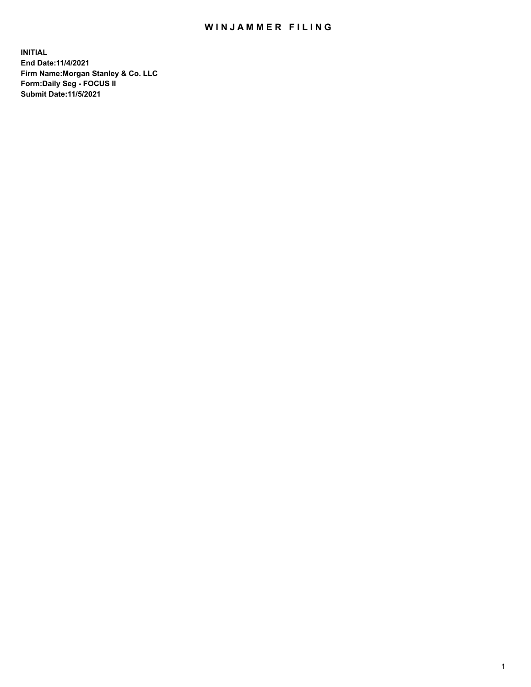## WIN JAMMER FILING

**INITIAL End Date:11/4/2021 Firm Name:Morgan Stanley & Co. LLC Form:Daily Seg - FOCUS II Submit Date:11/5/2021**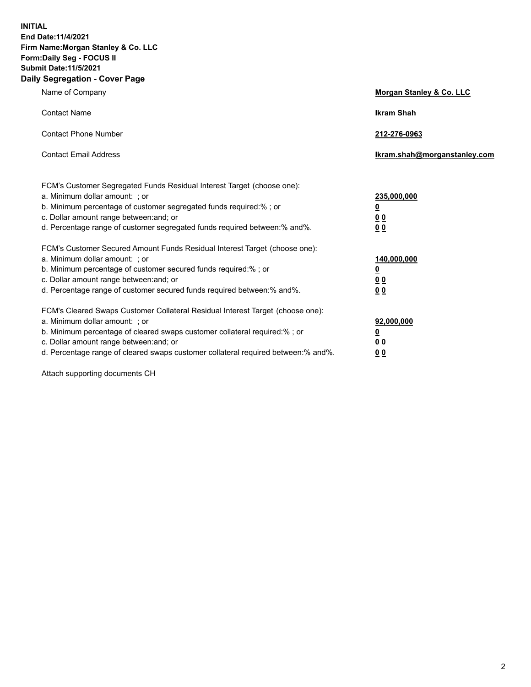**INITIAL End Date:11/4/2021 Firm Name:Morgan Stanley & Co. LLC Form:Daily Seg - FOCUS II Submit Date:11/5/2021 Daily Segregation - Cover Page**

| Name of Company                                                                                                                                                                                                                                                                                                                | <b>Morgan Stanley &amp; Co. LLC</b>                    |
|--------------------------------------------------------------------------------------------------------------------------------------------------------------------------------------------------------------------------------------------------------------------------------------------------------------------------------|--------------------------------------------------------|
| <b>Contact Name</b>                                                                                                                                                                                                                                                                                                            | <b>Ikram Shah</b>                                      |
| <b>Contact Phone Number</b>                                                                                                                                                                                                                                                                                                    | 212-276-0963                                           |
| <b>Contact Email Address</b>                                                                                                                                                                                                                                                                                                   | Ikram.shah@morganstanley.com                           |
| FCM's Customer Segregated Funds Residual Interest Target (choose one):<br>a. Minimum dollar amount: ; or<br>b. Minimum percentage of customer segregated funds required:% ; or<br>c. Dollar amount range between: and; or<br>d. Percentage range of customer segregated funds required between:% and%.                         | 235,000,000<br><u>0</u><br>0 Q<br>0 Q                  |
| FCM's Customer Secured Amount Funds Residual Interest Target (choose one):<br>a. Minimum dollar amount: ; or<br>b. Minimum percentage of customer secured funds required:% ; or<br>c. Dollar amount range between: and; or<br>d. Percentage range of customer secured funds required between: % and %.                         | 140,000,000<br><u>0</u><br><u>00</u><br>0 <sub>0</sub> |
| FCM's Cleared Swaps Customer Collateral Residual Interest Target (choose one):<br>a. Minimum dollar amount: ; or<br>b. Minimum percentage of cleared swaps customer collateral required:% ; or<br>c. Dollar amount range between: and; or<br>d. Percentage range of cleared swaps customer collateral required between:% and%. | 92,000,000<br><u>0</u><br>0 Q<br>00                    |

Attach supporting documents CH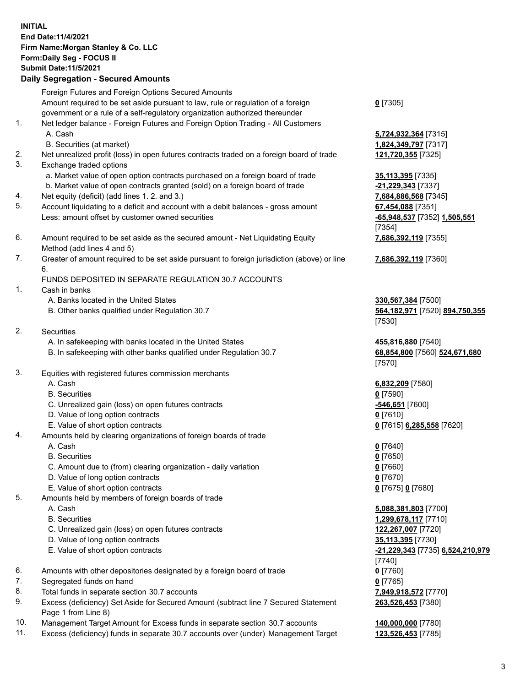## **INITIAL End Date:11/4/2021 Firm Name:Morgan Stanley & Co. LLC Form:Daily Seg - FOCUS II Submit Date:11/5/2021 Daily Segregation - Secured Amounts**

Foreign Futures and Foreign Options Secured Amounts Amount required to be set aside pursuant to law, rule or regulation of a foreign government or a rule of a self-regulatory organization authorized thereunder 1. Net ledger balance - Foreign Futures and Foreign Option Trading - All Customers A. Cash **5,724,932,364** [7315] B. Securities (at market) **1,824,349,797** [7317] 2. Net unrealized profit (loss) in open futures contracts traded on a foreign board of trade **121,720,355** [7325] 3. Exchange traded options a. Market value of open option contracts purchased on a foreign board of trade **35,113,395** [7335] b. Market value of open contracts granted (sold) on a foreign board of trade **-21,229,343** [7337] 4. Net equity (deficit) (add lines 1. 2. and 3.) **7,684,886,568** [7345] 5. Account liquidating to a deficit and account with a debit balances - gross amount **67,454,088** [7351] Less: amount offset by customer owned securities **-65,948,537** [7352] **1,505,551** 6. Amount required to be set aside as the secured amount - Net Liquidating Equity Method (add lines 4 and 5) 7. Greater of amount required to be set aside pursuant to foreign jurisdiction (above) or line 6. FUNDS DEPOSITED IN SEPARATE REGULATION 30.7 ACCOUNTS 1. Cash in banks A. Banks located in the United States **330,567,384** [7500] B. Other banks qualified under Regulation 30.7 **564,182,971** [7520] **894,750,355** 2. Securities A. In safekeeping with banks located in the United States **455,816,880** [7540] B. In safekeeping with other banks qualified under Regulation 30.7 **68,854,800** [7560] **524,671,680** 3. Equities with registered futures commission merchants A. Cash **6,832,209** [7580] B. Securities **0** [7590]

- C. Unrealized gain (loss) on open futures contracts **-546,651** [7600]
- D. Value of long option contracts **0** [7610]
- E. Value of short option contracts **0** [7615] **6,285,558** [7620]
- 4. Amounts held by clearing organizations of foreign boards of trade
	- A. Cash **0** [7640]
	- B. Securities **0** [7650]
	- C. Amount due to (from) clearing organization daily variation **0** [7660]
	- D. Value of long option contracts **0** [7670]
	- E. Value of short option contracts **0** [7675] **0** [7680]
- 5. Amounts held by members of foreign boards of trade
	-
	-
	- C. Unrealized gain (loss) on open futures contracts **122,267,007** [7720]
	- D. Value of long option contracts **35,113,395** [7730]
	-
- 6. Amounts with other depositories designated by a foreign board of trade **0** [7760]
- 7. Segregated funds on hand **0** [7765]
- 8. Total funds in separate section 30.7 accounts **7,949,918,572** [7770]
- 9. Excess (deficiency) Set Aside for Secured Amount (subtract line 7 Secured Statement Page 1 from Line 8)
- 10. Management Target Amount for Excess funds in separate section 30.7 accounts **140,000,000** [7780]
- 11. Excess (deficiency) funds in separate 30.7 accounts over (under) Management Target **123,526,453** [7785]

**0** [7305]

[7354] **7,686,392,119** [7355]

**7,686,392,119** [7360]

[7530]

[7570]

 A. Cash **5,088,381,803** [7700] B. Securities **1,299,678,117** [7710] E. Value of short option contracts **-21,229,343** [7735] **6,524,210,979** [7740] **263,526,453** [7380]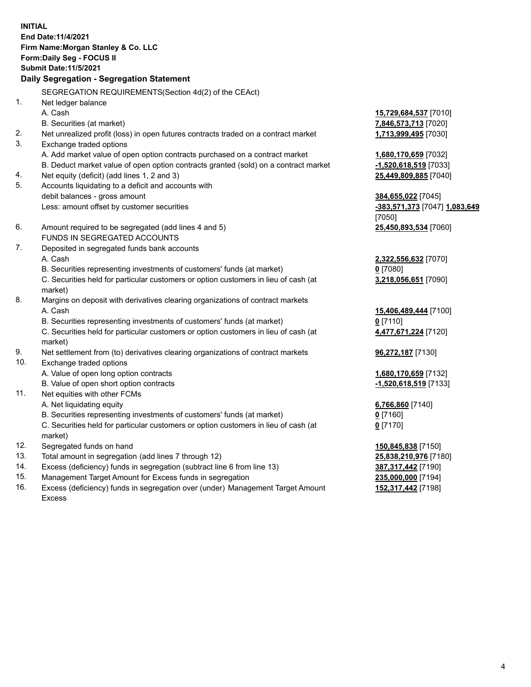**INITIAL End Date:11/4/2021 Firm Name:Morgan Stanley & Co. LLC Form:Daily Seg - FOCUS II Submit Date:11/5/2021 Daily Segregation - Segregation Statement** SEGREGATION REQUIREMENTS(Section 4d(2) of the CEAct) 1. Net ledger balance A. Cash **15,729,684,537** [7010] B. Securities (at market) **7,846,573,713** [7020] 2. Net unrealized profit (loss) in open futures contracts traded on a contract market **1,713,999,495** [7030] 3. Exchange traded options A. Add market value of open option contracts purchased on a contract market **1,680,170,659** [7032] B. Deduct market value of open option contracts granted (sold) on a contract market **-1,520,618,519** [7033] 4. Net equity (deficit) (add lines 1, 2 and 3) **25,449,809,885** [7040] 5. Accounts liquidating to a deficit and accounts with debit balances - gross amount **384,655,022** [7045] Less: amount offset by customer securities **-383,571,373** [7047] **1,083,649** [7050] 6. Amount required to be segregated (add lines 4 and 5) **25,450,893,534** [7060] FUNDS IN SEGREGATED ACCOUNTS 7. Deposited in segregated funds bank accounts A. Cash **2,322,556,632** [7070] B. Securities representing investments of customers' funds (at market) **0** [7080] C. Securities held for particular customers or option customers in lieu of cash (at market) **3,218,056,651** [7090] 8. Margins on deposit with derivatives clearing organizations of contract markets A. Cash **15,406,489,444** [7100] B. Securities representing investments of customers' funds (at market) **0** [7110] C. Securities held for particular customers or option customers in lieu of cash (at market) **4,477,671,224** [7120] 9. Net settlement from (to) derivatives clearing organizations of contract markets **96,272,187** [7130] 10. Exchange traded options A. Value of open long option contracts **1,680,170,659** [7132] B. Value of open short option contracts **-1,520,618,519** [7133] 11. Net equities with other FCMs A. Net liquidating equity **6,766,860** [7140] B. Securities representing investments of customers' funds (at market) **0** [7160] C. Securities held for particular customers or option customers in lieu of cash (at market) **0** [7170] 12. Segregated funds on hand **150,845,838** [7150] 13. Total amount in segregation (add lines 7 through 12) **25,838,210,976** [7180] 14. Excess (deficiency) funds in segregation (subtract line 6 from line 13) **387,317,442** [7190] 15. Management Target Amount for Excess funds in segregation **235,000,000** [7194]

16. Excess (deficiency) funds in segregation over (under) Management Target Amount Excess

**152,317,442** [7198]